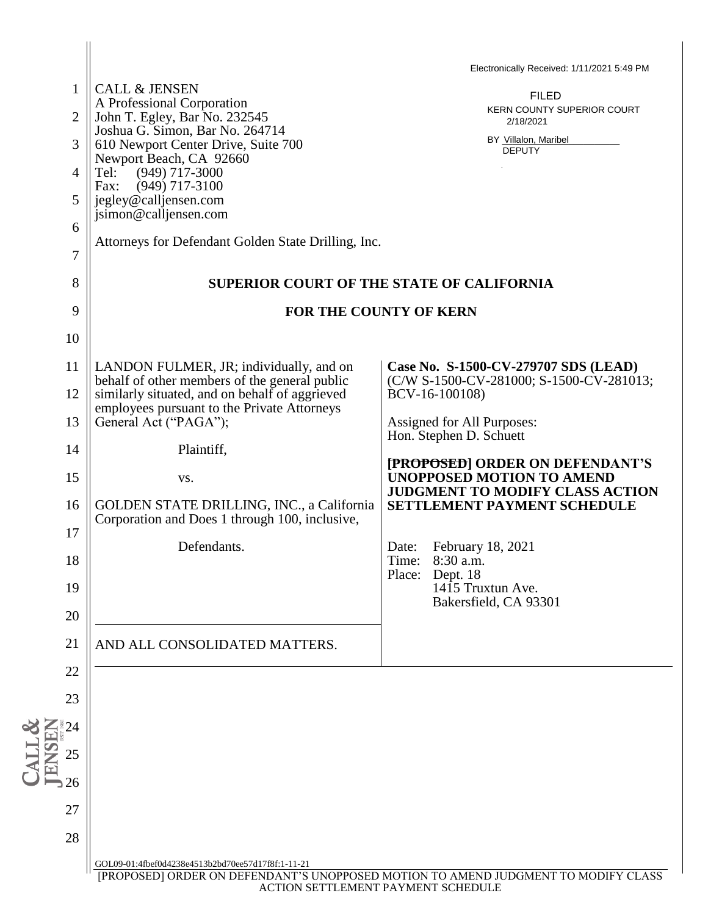|                                                                                                                          |                                                                                          | Electronically Received: 1/11/2021 5:49 PM                                       |  |
|--------------------------------------------------------------------------------------------------------------------------|------------------------------------------------------------------------------------------|----------------------------------------------------------------------------------|--|
| 1                                                                                                                        | <b>CALL &amp; JENSEN</b><br>A Professional Corporation                                   | <b>FILED</b>                                                                     |  |
| $\overline{2}$                                                                                                           | John T. Egley, Bar No. 232545                                                            | KERN COUNTY SUPERIOR COURT<br>2/18/2021                                          |  |
| 3                                                                                                                        | Joshua G. Simon, Bar No. 264714<br>610 Newport Center Drive, Suite 700                   | BY Villalon, Maribel<br><b>DEPUTY</b>                                            |  |
| $\overline{4}$                                                                                                           | Newport Beach, CA 92660<br>$(949)$ 717-3000<br>Tel:                                      |                                                                                  |  |
|                                                                                                                          | Fax:<br>$(949)$ 717-3100                                                                 |                                                                                  |  |
| 5                                                                                                                        | jegley@calljensen.com<br>jsimon@calljensen.com                                           |                                                                                  |  |
| 6                                                                                                                        |                                                                                          |                                                                                  |  |
| 7                                                                                                                        | Attorneys for Defendant Golden State Drilling, Inc.                                      |                                                                                  |  |
| 8                                                                                                                        | SUPERIOR COURT OF THE STATE OF CALIFORNIA                                                |                                                                                  |  |
| 9                                                                                                                        | <b>FOR THE COUNTY OF KERN</b>                                                            |                                                                                  |  |
|                                                                                                                          |                                                                                          |                                                                                  |  |
| 10                                                                                                                       |                                                                                          |                                                                                  |  |
| 11                                                                                                                       | LANDON FULMER, JR; individually, and on<br>behalf of other members of the general public | Case No. S-1500-CV-279707 SDS (LEAD)<br>(C/W S-1500-CV-281000; S-1500-CV-281013; |  |
| 12                                                                                                                       | similarly situated, and on behalf of aggrieved                                           | BCV-16-100108)                                                                   |  |
| 13                                                                                                                       | employees pursuant to the Private Attorneys<br>General Act ("PAGA");                     | Assigned for All Purposes:                                                       |  |
|                                                                                                                          |                                                                                          | Hon. Stephen D. Schuett                                                          |  |
| 14                                                                                                                       | Plaintiff,                                                                               | [PROPOSED] ORDER ON DEFENDANT'S                                                  |  |
| 15                                                                                                                       | VS.                                                                                      | <b>UNOPPOSED MOTION TO AMEND</b><br><b>JUDGMENT TO MODIFY CLASS ACTION</b>       |  |
| 16                                                                                                                       | GOLDEN STATE DRILLING, INC., a California                                                | SETTLEMENT PAYMENT SCHEDULE                                                      |  |
| 17                                                                                                                       | Corporation and Does 1 through 100, inclusive,                                           |                                                                                  |  |
|                                                                                                                          | Defendants.                                                                              | February 18, 2021<br>Date:                                                       |  |
| 18                                                                                                                       |                                                                                          | Time:<br>8:30 a.m.<br>Place:<br>Dept. 18                                         |  |
| 19                                                                                                                       |                                                                                          | 1415 Truxtun Ave.<br>Bakersfield, CA 93301                                       |  |
| 20                                                                                                                       |                                                                                          |                                                                                  |  |
| 21                                                                                                                       | AND ALL CONSOLIDATED MATTERS.                                                            |                                                                                  |  |
| 22                                                                                                                       |                                                                                          |                                                                                  |  |
| 23                                                                                                                       |                                                                                          |                                                                                  |  |
|                                                                                                                          |                                                                                          |                                                                                  |  |
| $\degree{24}$                                                                                                            |                                                                                          |                                                                                  |  |
| $\sum_{i=1}^{\infty} \frac{1}{2}$                                                                                        |                                                                                          |                                                                                  |  |
| $\overline{\phantom{0}}$ 26                                                                                              |                                                                                          |                                                                                  |  |
| 27                                                                                                                       |                                                                                          |                                                                                  |  |
| 28                                                                                                                       |                                                                                          |                                                                                  |  |
|                                                                                                                          | GOL09-01:4fbef0d4238e4513b2bd70ee57d17f8f:1-11-21                                        |                                                                                  |  |
| [PROPOSED] ORDER ON DEFENDANT'S UNOPPOSED MOTION TO AMEND JUDGMENT TO MODIFY CLASS<br>ACTION SETTLEMENT PAYMENT SCHEDULE |                                                                                          |                                                                                  |  |